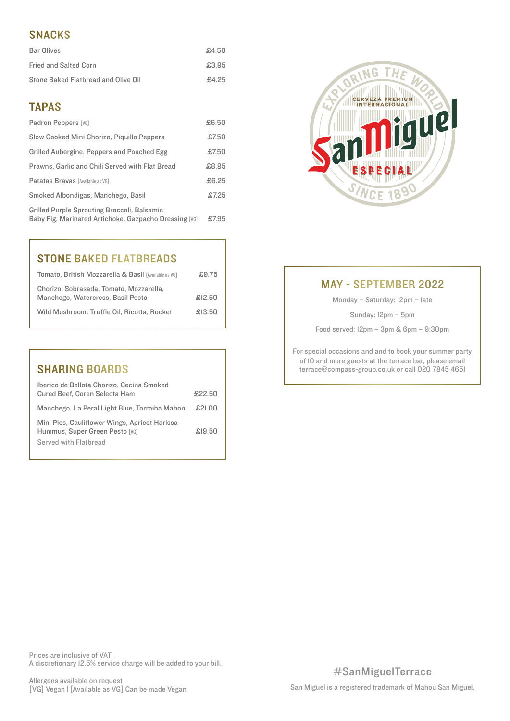# SNACKS

| <b>Bar Olives</b>                   | £4.50 |
|-------------------------------------|-------|
| <b>Fried and Salted Corn</b>        | £3.95 |
| Stone Baked Flatbread and Olive Oil | £4.25 |

# TAPAS

| Padron Peppers [VG]                                                                                         | £6.50 |
|-------------------------------------------------------------------------------------------------------------|-------|
| Slow Cooked Mini Chorizo, Piquillo Peppers                                                                  | £7.50 |
| Grilled Aubergine, Peppers and Poached Egg                                                                  | £7.50 |
| Prawns, Garlic and Chili Served with Flat Bread                                                             | £8.95 |
| Patatas Bravas [Available as VG]                                                                            | £6.25 |
| Smoked Albondigas, Manchego, Basil                                                                          | £7.25 |
| <b>Grilled Purple Sprouting Broccoli, Balsamic</b><br>Baby Fig. Marinated Artichoke, Gazpacho Dressing [VG] | £7.95 |



# STONE BAKED FLATBREADS

| Tomato, British Mozzarella & Basil [Available as VG]                         | £9.75  |
|------------------------------------------------------------------------------|--------|
| Chorizo, Sobrasada, Tomato, Mozzarella,<br>Manchego, Watercress, Basil Pesto | £12.50 |
| Wild Mushroom, Truffle Oil, Ricotta, Rocket                                  | £13.50 |

| <b>SHARING BOARDS</b>                                                                                    |        |
|----------------------------------------------------------------------------------------------------------|--------|
| Iberico de Bellota Chorizo, Cecina Smoked<br>Cured Beef, Coren Selecta Ham                               | £22.50 |
| Manchego, La Peral Light Blue, Torraiba Mahon                                                            | £21.00 |
| Mini Pies, Cauliflower Wings, Apricot Harissa<br>Hummus, Super Green Pesto [VG]<br>Served with Flathread | £19.50 |

# MAY - SEPTEMBER 2022

Monday – Saturday: 12pm – late

Sunday: 12pm – 5pm

Food served: 12pm – 3pm & 6pm – 9:30pm

For special occasions and and to book your summer party of 10 and more guests at the terrace bar, please email terrace@compass-group.co.uk or call 020 7845 4651

Prices are inclusive of VAT. A discretionary 12.5% service charge will be added to your bill.